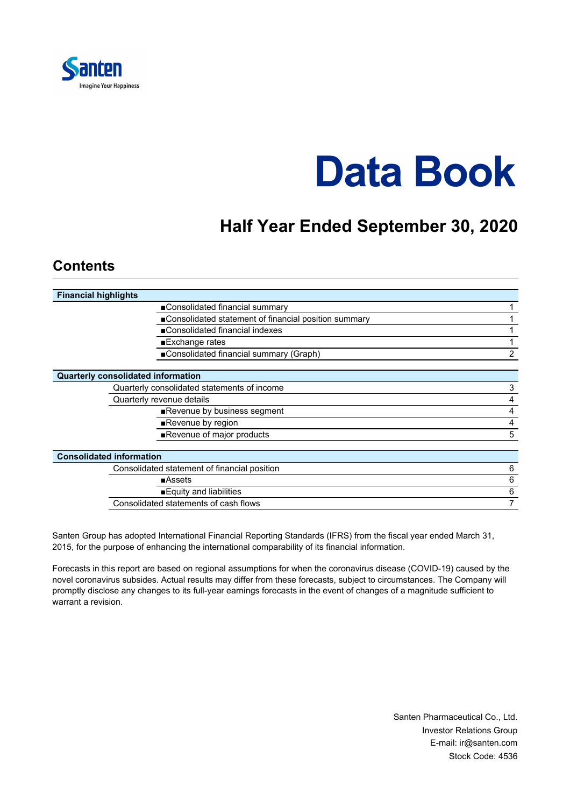

# **Data Book**

# **Half Year Ended September 30, 2020**

## **Contents**

| <b>Financial highlights</b>                           |   |  |  |  |  |
|-------------------------------------------------------|---|--|--|--|--|
| ■Consolidated financial summary                       |   |  |  |  |  |
| ■Consolidated statement of financial position summary |   |  |  |  |  |
| ■Consolidated financial indexes                       |   |  |  |  |  |
| ■Exchange rates                                       |   |  |  |  |  |
| ■Consolidated financial summary (Graph)               | 2 |  |  |  |  |
| <b>Quarterly consolidated information</b>             |   |  |  |  |  |
| Quarterly consolidated statements of income           | 3 |  |  |  |  |
| Quarterly revenue details                             | 4 |  |  |  |  |
| Revenue by business segment                           | 4 |  |  |  |  |
| Revenue by region                                     | 4 |  |  |  |  |
| Revenue of major products                             | 5 |  |  |  |  |
| <b>Consolidated information</b>                       |   |  |  |  |  |
| Consolidated statement of financial position          | 6 |  |  |  |  |
| $\blacksquare$ Assets                                 | 6 |  |  |  |  |
| ■ Equity and liabilities                              |   |  |  |  |  |
| Consolidated statements of cash flows                 |   |  |  |  |  |

Santen Group has adopted International Financial Reporting Standards (IFRS) from the fiscal year ended March 31, 2015, for the purpose of enhancing the international comparability of its financial information.

Forecasts in this report are based on regional assumptions for when the coronavirus disease (COVID-19) caused by the novel coronavirus subsides. Actual results may differ from these forecasts, subject to circumstances. The Company will promptly disclose any changes to its full-year earnings forecasts in the event of changes of a magnitude sufficient to warrant a revision.

> Santen Pharmaceutical Co., Ltd. Investor Relations Group E-mail: ir@santen.com Stock Code: 4536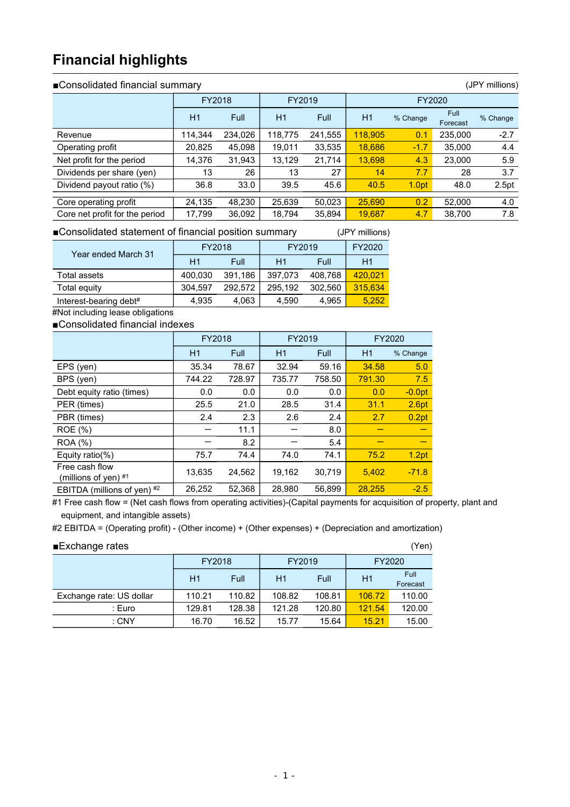## **Financial highlights**

## ■Consolidated financial summary (JPY millions)

|                                | FY2018  |             | FY2019         |         |         | FY2020            |                         |          |
|--------------------------------|---------|-------------|----------------|---------|---------|-------------------|-------------------------|----------|
|                                | H1      | <b>Full</b> | H <sub>1</sub> | Full    | H1      | % Change          | <b>Full</b><br>Forecast | % Change |
| Revenue                        | 114,344 | 234,026     | 118,775        | 241,555 | 118,905 | 0.1               | 235,000                 | $-2.7$   |
| Operating profit               | 20,825  | 45,098      | 19.011         | 33,535  | 18,686  | $-1.7$            | 35,000                  | 4.4      |
| Net profit for the period      | 14.376  | 31,943      | 13.129         | 21.714  | 13.698  | 4.3               | 23,000                  | 5.9      |
| Dividends per share (yen)      | 13      | 26          | 13             | 27      | 14      | 7.7               | 28                      | 3.7      |
| Dividend payout ratio (%)      | 36.8    | 33.0        | 39.5           | 45.6    | 40.5    | 1.0 <sub>pt</sub> | 48.0                    | 2.5pt    |
|                                |         |             |                |         |         |                   |                         |          |
| Core operating profit          | 24,135  | 48.230      | 25.639         | 50.023  | 25,690  | 0.2               | 52,000                  | 4.0      |
| Core net profit for the period | 17,799  | 36,092      | 18,794         | 35,894  | 19,687  | 4.7               | 38,700                  | 7.8      |

■Consolidated statement of financial position summary (JPY millions)

| Year ended March 31    | FY2018  |             | FY2019         | FY2020  |         |
|------------------------|---------|-------------|----------------|---------|---------|
|                        | H1      | <b>Full</b> | H <sub>1</sub> | Full    | H1      |
| Total assets           | 400,030 | 391,186     | 397.073        | 408.768 | 420.021 |
| Total equity           | 304.597 | 292.572     | 295.192        | 302.560 | 315.634 |
| Interest-bearing debt# | 4.935   | 4.063       | 4.590          | 4.965   | 5.252   |

#Not including lease obligations

■Consolidated financial indexes

|                                          | FY2018 |        | FY2019 |        |        | FY2020   |
|------------------------------------------|--------|--------|--------|--------|--------|----------|
|                                          | H1     | Full   | H1     | Full   | H1     | % Change |
| EPS (yen)                                | 35.34  | 78.67  | 32.94  | 59.16  | 34.58  | 5.0      |
| BPS (yen)                                | 744.22 | 728.97 | 735.77 | 758.50 | 791.30 | 7.5      |
| Debt equity ratio (times)                | 0.0    | 0.0    | 0.0    | 0.0    | 0.0    | $-0.0pt$ |
| PER (times)                              | 25.5   | 21.0   | 28.5   | 31.4   | 31.1   | 2.6pt    |
| PBR (times)                              | 2.4    | 2.3    | 2.6    | 2.4    | 2.7    | 0.2pt    |
| ROE (%)                                  |        | 11.1   |        | 8.0    |        |          |
| <b>ROA</b> (%)                           |        | 8.2    |        | 5.4    |        |          |
| Equity ratio $(\%)$                      | 75.7   | 74.4   | 74.0   | 74.1   | 75.2   | 1.2pt    |
| Free cash flow<br>(millions of yen) $*1$ | 13.635 | 24.562 | 19.162 | 30.719 | 5,402  | $-71.8$  |
| EBITDA (millions of yen) $#2$            | 26,252 | 52,368 | 28.980 | 56.899 | 28.255 | $-2.5$   |

#1 Free cash flow = (Net cash flows from operating activities)-(Capital payments for acquisition of property, plant and equipment, and intangible assets)

#2 EBITDA = (Operating profit) - (Other income) + (Other expenses) + (Depreciation and amortization)

#### ■Exchange rates (Yen)

| $  \sim$ $\sim$ $\sim$ $\sim$ $\sim$ $\sim$ $\sim$<br>, , , , , |        |        |        |        |        |                  |  |  |  |  |  |  |
|-----------------------------------------------------------------|--------|--------|--------|--------|--------|------------------|--|--|--|--|--|--|
|                                                                 | FY2018 |        | FY2019 |        | FY2020 |                  |  |  |  |  |  |  |
|                                                                 | H1     | Full   | H1     | Full   | H1     | Full<br>Forecast |  |  |  |  |  |  |
| Exchange rate: US dollar                                        | 110.21 | 110.82 | 108.82 | 108.81 | 106.72 | 110.00           |  |  |  |  |  |  |
| : Euro                                                          | 129.81 | 128.38 | 121.28 | 120.80 | 121.54 | 120.00           |  |  |  |  |  |  |
| $:$ CNY                                                         | 16.70  | 16.52  | 15.77  | 15.64  | 15.21  | 15.00            |  |  |  |  |  |  |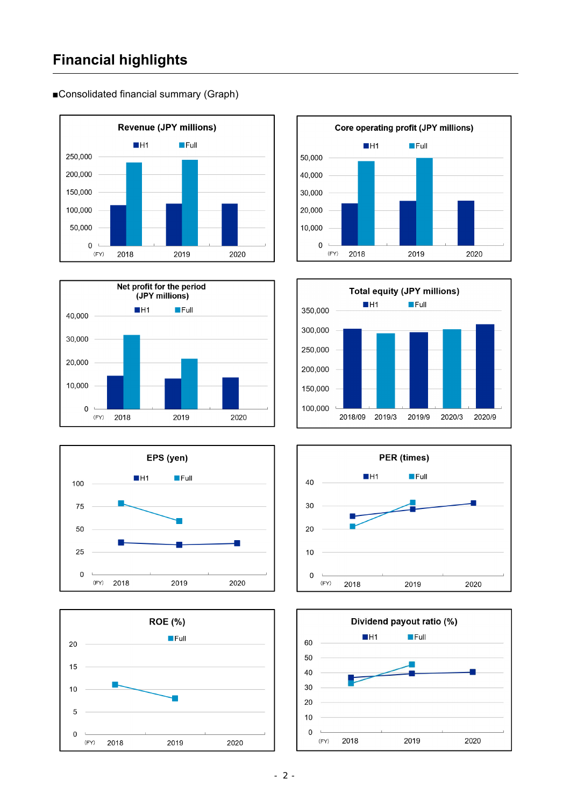## **Financial highlights**

### ■Consolidated financial summary (Graph)















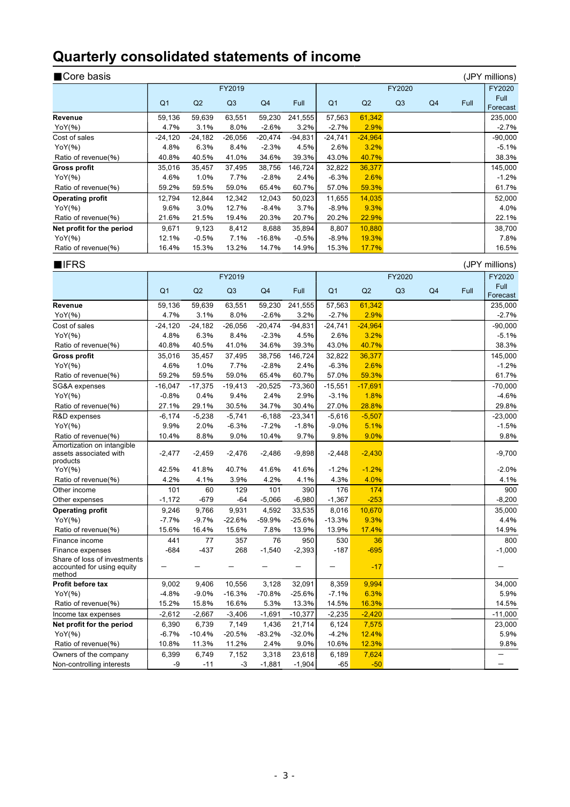## **Quarterly consolidated statements of income**

| ■Core basis               |                |           |                |                |           |                |           |                |                |             | (JPY millions)          |
|---------------------------|----------------|-----------|----------------|----------------|-----------|----------------|-----------|----------------|----------------|-------------|-------------------------|
|                           |                |           | FY2019         |                |           |                |           | FY2020         |                |             | FY2020                  |
|                           | Q <sub>1</sub> | Q2        | Q <sub>3</sub> | Q <sub>4</sub> | Full      | Q <sub>1</sub> | Q2        | Q <sub>3</sub> | Q <sub>4</sub> | <b>Full</b> | <b>Full</b><br>Forecast |
| Revenue                   | 59,136         | 59,639    | 63,551         | 59,230         | 241,555   | 57,563         | 61,342    |                |                |             | 235,000                 |
| YoY(%)                    | 4.7%           | 3.1%      | 8.0%           | $-2.6%$        | 3.2%      | $-2.7%$        | 2.9%      |                |                |             | $-2.7%$                 |
| Cost of sales             | $-24,120$      | $-24,182$ | $-26,056$      | $-20,474$      | $-94,831$ | $-24,741$      | $-24,964$ |                |                |             | $-90,000$               |
| YoY(%)                    | 4.8%           | 6.3%      | 8.4%           | $-2.3%$        | 4.5%      | 2.6%           | 3.2%      |                |                |             | $-5.1%$                 |
| Ratio of revenue(%)       | 40.8%          | 40.5%     | 41.0%          | 34.6%          | 39.3%     | 43.0%          | 40.7%     |                |                |             | 38.3%                   |
| Gross profit              | 35,016         | 35,457    | 37.495         | 38,756         | 146,724   | 32,822         | 36,377    |                |                |             | 145,000                 |
| YoY(%)                    | 4.6%           | 1.0%      | 7.7%           | $-2.8%$        | 2.4%      | $-6.3%$        | 2.6%      |                |                |             | $-1.2%$                 |
| Ratio of revenue(%)       | 59.2%          | 59.5%     | 59.0%          | 65.4%          | 60.7%     | 57.0%          | 59.3%     |                |                |             | 61.7%                   |
| <b>Operating profit</b>   | 12,794         | 12,844    | 12,342         | 12,043         | 50,023    | 11,655         | 14,035    |                |                |             | 52,000                  |
| YoY(%)                    | 9.6%           | 3.0%      | 12.7%          | $-8.4%$        | 3.7%      | $-8.9%$        | 9.3%      |                |                |             | 4.0%                    |
| Ratio of revenue(%)       | 21.6%          | 21.5%     | 19.4%          | 20.3%          | 20.7%     | 20.2%          | 22.9%     |                |                |             | 22.1%                   |
| Net profit for the period | 9,671          | 9,123     | 8,412          | 8,688          | 35,894    | 8,807          | 10,880    |                |                |             | 38,700                  |
| YoY(%)                    | 12.1%          | $-0.5%$   | 7.1%           | $-16.8%$       | $-0.5%$   | $-8.9%$        | 19.3%     |                |                |             | 7.8%                    |
| Ratio of revenue(%)       | 16.4%          | 15.3%     | 13.2%          | 14.7%          | 14.9%     | 15.3%          | 17.7%     |                |                |             | 16.5%                   |
| $\P$ IFRS                 |                |           |                |                |           |                |           |                |                |             | (JPY millions)          |

|                                                                      |                |           | FY2019         |                |           |                |           | FY2020 |    |             | FY2020           |
|----------------------------------------------------------------------|----------------|-----------|----------------|----------------|-----------|----------------|-----------|--------|----|-------------|------------------|
|                                                                      | Q <sub>1</sub> | Q2        | Q <sub>3</sub> | Q <sub>4</sub> | Full      | Q <sub>1</sub> | Q2        | Q3     | Q4 | <b>Full</b> | Full<br>Forecast |
| Revenue                                                              | 59,136         | 59,639    | 63,551         | 59,230         | 241,555   | 57,563         | 61,342    |        |    |             | 235,000          |
| YoY(%)                                                               | 4.7%           | 3.1%      | 8.0%           | $-2.6%$        | 3.2%      | $-2.7%$        | 2.9%      |        |    |             | $-2.7%$          |
| Cost of sales                                                        | $-24,120$      | $-24,182$ | $-26,056$      | $-20,474$      | $-94,831$ | $-24,741$      | $-24,964$ |        |    |             | $-90,000$        |
| YoY(%)                                                               | 4.8%           | 6.3%      | 8.4%           | $-2.3%$        | 4.5%      | 2.6%           | 3.2%      |        |    |             | $-5.1%$          |
| Ratio of revenue(%)                                                  | 40.8%          | 40.5%     | 41.0%          | 34.6%          | 39.3%     | 43.0%          | 40.7%     |        |    |             | 38.3%            |
| <b>Gross profit</b>                                                  | 35.016         | 35,457    | 37,495         | 38,756         | 146,724   | 32,822         | 36,377    |        |    |             | 145,000          |
| YoY(%)                                                               | 4.6%           | 1.0%      | 7.7%           | $-2.8%$        | 2.4%      | $-6.3%$        | 2.6%      |        |    |             | $-1.2%$          |
| Ratio of revenue(%)                                                  | 59.2%          | 59.5%     | 59.0%          | 65.4%          | 60.7%     | 57.0%          | 59.3%     |        |    |             | 61.7%            |
| SG&A expenses                                                        | $-16,047$      | $-17,375$ | $-19,413$      | $-20,525$      | $-73,360$ | $-15,551$      | $-17,691$ |        |    |             | $-70,000$        |
| YoY(%)                                                               | $-0.8%$        | 0.4%      | 9.4%           | 2.4%           | 2.9%      | $-3.1%$        | 1.8%      |        |    |             | $-4.6%$          |
| Ratio of revenue(%)                                                  | 27.1%          | 29.1%     | 30.5%          | 34.7%          | 30.4%     | 27.0%          | 28.8%     |        |    |             | 29.8%            |
| R&D expenses                                                         | $-6,174$       | $-5,238$  | $-5,741$       | $-6,188$       | $-23,341$ | $-5,616$       | $-5,507$  |        |    |             | $-23,000$        |
| $YOY(\% )$                                                           | 9.9%           | 2.0%      | $-6.3%$        | $-7.2%$        | $-1.8%$   | $-9.0%$        | 5.1%      |        |    |             | $-1.5%$          |
| Ratio of revenue(%)                                                  | 10.4%          | 8.8%      | 9.0%           | 10.4%          | 9.7%      | 9.8%           | 9.0%      |        |    |             | 9.8%             |
| Amortization on intangible<br>assets associated with<br>products     | $-2,477$       | $-2,459$  | $-2,476$       | $-2,486$       | $-9,898$  | $-2,448$       | $-2,430$  |        |    |             | $-9,700$         |
| YoY(%)                                                               | 42.5%          | 41.8%     | 40.7%          | 41.6%          | 41.6%     | $-1.2%$        | $-1.2%$   |        |    |             | $-2.0%$          |
| Ratio of revenue(%)                                                  | 4.2%           | 4.1%      | 3.9%           | 4.2%           | 4.1%      | 4.3%           | 4.0%      |        |    |             | 4.1%             |
| Other income                                                         | 101            | 60        | 129            | 101            | 390       | 176            | 174       |        |    |             | 900              |
| Other expenses                                                       | $-1,172$       | $-679$    | $-64$          | $-5,066$       | $-6,980$  | $-1,367$       | $-253$    |        |    |             | $-8,200$         |
| <b>Operating profit</b>                                              | 9,246          | 9,766     | 9,931          | 4,592          | 33,535    | 8,016          | 10,670    |        |    |             | 35,000           |
| YoY(%)                                                               | $-7.7%$        | $-9.7%$   | $-22.6%$       | $-59.9%$       | $-25.6%$  | $-13.3%$       | 9.3%      |        |    |             | 4.4%             |
| Ratio of revenue(%)                                                  | 15.6%          | 16.4%     | 15.6%          | 7.8%           | 13.9%     | 13.9%          | 17.4%     |        |    |             | 14.9%            |
| Finance income                                                       | 441            | 77        | 357            | 76             | 950       | 530            | 36        |        |    |             | 800              |
| Finance expenses                                                     | $-684$         | $-437$    | 268            | $-1,540$       | $-2,393$  | $-187$         | $-695$    |        |    |             | $-1,000$         |
| Share of loss of investments<br>accounted for using equity<br>method |                |           |                |                |           |                | $-17$     |        |    |             |                  |
| Profit before tax                                                    | 9,002          | 9,406     | 10,556         | 3,128          | 32,091    | 8,359          | 9,994     |        |    |             | 34,000           |
| YoY(%)                                                               | $-4.8%$        | $-9.0%$   | $-16.3%$       | $-70.8%$       | $-25.6%$  | $-7.1%$        | 6.3%      |        |    |             | 5.9%             |
| Ratio of revenue(%)                                                  | 15.2%          | 15.8%     | 16.6%          | 5.3%           | 13.3%     | 14.5%          | 16.3%     |        |    |             | 14.5%            |
| Income tax expenses                                                  | $-2,612$       | $-2,667$  | $-3,406$       | $-1,691$       | $-10,377$ | $-2,235$       | $-2.420$  |        |    |             | $-11,000$        |
| Net profit for the period                                            | 6,390          | 6,739     | 7,149          | 1,436          | 21,714    | 6,124          | 7,575     |        |    |             | 23,000           |
| YoY(%)                                                               | $-6.7%$        | $-10.4%$  | $-20.5%$       | $-83.2%$       | $-32.0%$  | $-4.2%$        | 12.4%     |        |    |             | 5.9%             |
| Ratio of revenue(%)                                                  | 10.8%          | 11.3%     | 11.2%          | 2.4%           | 9.0%      | 10.6%          | 12.3%     |        |    |             | 9.8%             |
| Owners of the company                                                | 6,399          | 6,749     | 7,152          | 3,318          | 23,618    | 6,189          | 7,624     |        |    |             |                  |
| Non-controlling interests                                            | -9             | $-11$     | -3             | $-1,881$       | $-1,904$  | $-65$          | $-50$     |        |    |             |                  |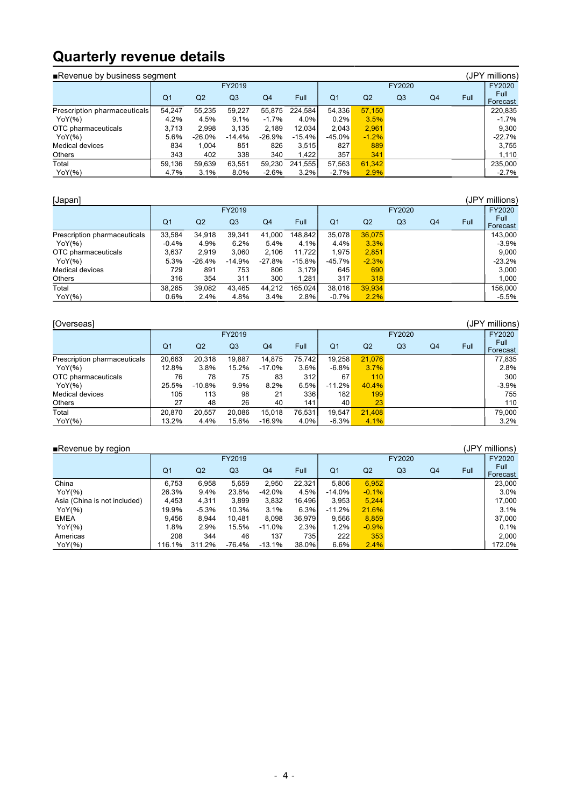## **Quarterly revenue details**

| Revenue by business segment  |                |                |                |                |          |                |         |                |    |      | (JPY millions)   |
|------------------------------|----------------|----------------|----------------|----------------|----------|----------------|---------|----------------|----|------|------------------|
|                              |                |                | FY2019         |                |          | FY2020         |         |                |    |      | FY2020           |
|                              | Q <sub>1</sub> | Q <sub>2</sub> | Q <sub>3</sub> | Q <sub>4</sub> | Full     | Q <sub>1</sub> | Q2      | Q <sub>3</sub> | Q4 | Full | Full<br>Forecast |
| Prescription pharmaceuticals | 54.247         | 55.235         | 59.227         | 55.875         | 224.584  | 54,336         | 57,150  |                |    |      | 220.835          |
| YoY(%)                       | 4.2%           | 4.5%           | 9.1%           | $-1.7%$        | 4.0%     | 0.2%           | 3.5%    |                |    |      | $-1.7%$          |
| OTC pharmaceuticals          | 3.713          | 2.998          | 3.135          | 2.189          | 12.034   | 2.043          | 2,961   |                |    |      | 9,300            |
| YoY(%)                       | 5.6%           | -26.0%         | $-14.4%$       | $-26.9%$       | $-15.4%$ | $-45.0%$       | $-1.2%$ |                |    |      | $-22.7%$         |
| <b>Medical devices</b>       | 834            | 1.004          | 851            | 826            | 3,515    | 827            | 889     |                |    |      | 3.755            |
| Others                       | 343            | 402            | 338            | 340            | 1.422    | 357            | 341     |                |    |      | 1,110            |
| Total                        | 59.136         | 59.639         | 63,551         | 59,230         | 241.555  | 57.563         | 61,342  |                |    |      | 235,000          |
| YoY(%)                       | 4.7%           | 3.1%           | 8.0%           | $-2.6%$        | 3.2%     | $-2.7%$        | 2.9%    |                |    |      | $-2.7%$          |

| [Japan]                      |                |                |                |                |          |                |         |                |    |      | (JPY millions)   |
|------------------------------|----------------|----------------|----------------|----------------|----------|----------------|---------|----------------|----|------|------------------|
|                              |                |                | FY2019         |                |          | FY2020         |         |                |    |      | FY2020           |
|                              | Q <sub>1</sub> | Q <sub>2</sub> | Q <sub>3</sub> | Q <sub>4</sub> | Full     | Q <sub>1</sub> | Q2      | Q <sub>3</sub> | Q4 | Full | Full<br>Forecast |
| Prescription pharmaceuticals | 33,584         | 34.918         | 39.341         | 41.000         | 148.842  | 35.078         | 36.075  |                |    |      | 143.000          |
| YoY(%)                       | $-0.4%$        | 4.9%           | 6.2%           | 5.4%           | 4.1%     | 4.4%           | 3.3%    |                |    |      | $-3.9%$          |
| OTC pharmaceuticals          | 3.637          | 2.919          | 3.060          | 2,106          | 11.722   | 1.975          | 2,851   |                |    |      | 9.000            |
| YoY(%)                       | 5.3%           | $-26.4%$       | $-14.9%$       | $-27.8%$       | $-15.8%$ | $-45.7%$       | $-2.3%$ |                |    |      | $-23.2%$         |
| Medical devices              | 729            | 891            | 753            | 806            | 3.179    | 645            | 690     |                |    |      | 3.000            |
| <b>Others</b>                | 316            | 354            | 311            | 300            | 1.281    | 317            | 318     |                |    |      | 1,000            |
| Total                        | 38.265         | 39.082         | 43.465         | 44.212         | 165.024  | 38.016         | 39.934  |                |    |      | 156,000          |
| YoY(%)                       | 0.6%           | 2.4%           | 4.8%           | 3.4%           | 2.8%     | $-0.7%$        | 2.2%    |                |    |      | $-5.5%$          |

| [Overseas]                   |                |                |                |                |        |                |                |                |    |             | (JPY millions)          |
|------------------------------|----------------|----------------|----------------|----------------|--------|----------------|----------------|----------------|----|-------------|-------------------------|
|                              |                |                | FY2019         |                |        | FY2020         |                |                |    |             | FY2020                  |
|                              | Q <sub>1</sub> | Q <sub>2</sub> | Q <sub>3</sub> | Q <sub>4</sub> | Full   | Q <sub>1</sub> | Q <sub>2</sub> | Q <sub>3</sub> | Q4 | <b>Full</b> | <b>Full</b><br>Forecast |
| Prescription pharmaceuticals | 20,663         | 20.318         | 19.887         | 14.875         | 75.742 | 19.258         | 21.076         |                |    |             | 77,835                  |
| YoY(%)                       | 12.8%          | 3.8%           | 15.2%          | $-17.0%$       | 3.6%   | $-6.8%$        | 3.7%           |                |    |             | 2.8%                    |
| OTC pharmaceuticals          | 76             | 78             | 75             | 83             | 312    | 67             | 110            |                |    |             | 300                     |
| YoY(%)                       | 25.5%          | $-10.8%$       | 9.9%           | 8.2%           | 6.5%   | $-11.2%$       | 40.4%          |                |    |             | $-3.9%$                 |
| Medical devices              | 105            | 113            | 98             | 21             | 336    | 182            | 199            |                |    |             | 755                     |
| <b>Others</b>                | 27             | 48             | 26             | 40             | 141    | 40             | 23             |                |    |             | 110                     |
| Total                        | 20.870         | 20.557         | 20,086         | 15.018         | 76.531 | 19.547         | 21.408         |                |    |             | 79.000                  |
| YoY(%)                       | 13.2%          | 4.4%           | 15.6%          | -16.9%         | 4.0%   | $-6.3%$        | 4.1%           |                |    |             | 3.2%                    |

| Revenue by region            |                |                |                |                |        |                |                |                |        |      | (JPY millions)   |
|------------------------------|----------------|----------------|----------------|----------------|--------|----------------|----------------|----------------|--------|------|------------------|
|                              |                |                |                | FY2020         |        |                |                |                | FY2020 |      |                  |
|                              | Q <sub>1</sub> | Q <sub>2</sub> | Q <sub>3</sub> | Q <sub>4</sub> | Full   | Q <sub>1</sub> | Q <sub>2</sub> | Q <sub>3</sub> | Q4     | Full | Full<br>Forecast |
| China                        | 6.753          | 6.958          | 5.659          | 2.950          | 22.321 | 5.806          | 6,952          |                |        |      | 23.000           |
| YoY(%)                       | 26.3%          | 9.4%           | 23.8%          | -42.0%         | 4.5%   | $-14.0%$       | $-0.1%$        |                |        |      | 3.0%             |
| Asia (China is not included) | 4.453          | 4.311          | 3.899          | 3,832          | 16.496 | 3.953          | 5.244          |                |        |      | 17.000           |
| YoY(%)                       | 19.9%          | $-5.3%$        | 10.3%          | 3.1%           | 6.3%   | $-11.2%$       | 21.6%          |                |        |      | 3.1%             |
| <b>EMEA</b>                  | 9.456          | 8.944          | 10.481         | 8.098          | 36,979 | 9.566          | 8,859          |                |        |      | 37,000           |
| YoY(%)                       | 1.8%           | 2.9%           | 15.5%          | $-11.0%$       | 2.3%   | 1.2%           | $-0.9%$        |                |        |      | 0.1%             |
| Americas                     | 208            | 344            | 46             | 137            | 7351   | 222            | 353            |                |        |      | 2.000            |
| YoY(%)                       | 116.1%         | 311.2%         | -76.4%         | $-13.1%$       | 38.0%  | 6.6%           | 2.4%           |                |        |      | 172.0%           |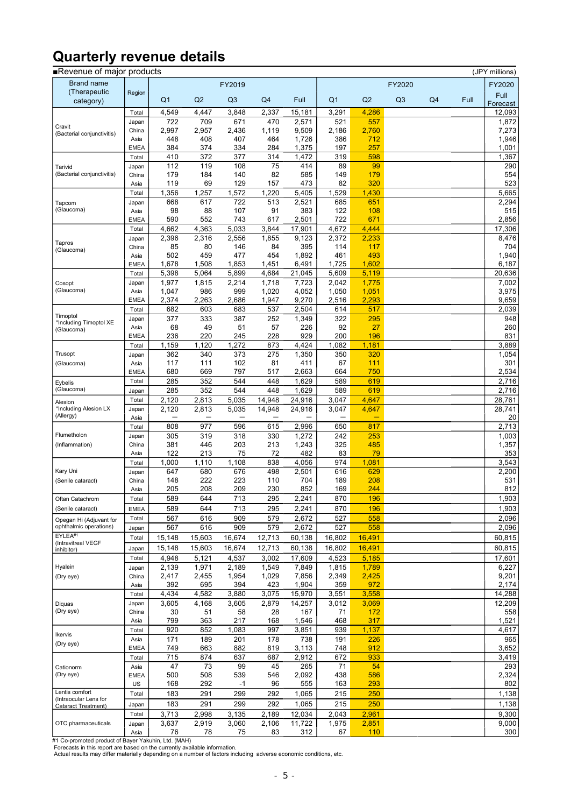## **Quarterly revenue details**

| Revenue of major products |  |  |
|---------------------------|--|--|
|                           |  |  |

| Revenue of major products                         |                     |                |                |                  |              |                |                |              |                |    |      | (JPY millions)   |
|---------------------------------------------------|---------------------|----------------|----------------|------------------|--------------|----------------|----------------|--------------|----------------|----|------|------------------|
| <b>Brand name</b><br>FY2019                       |                     |                |                | FY2020<br>FY2020 |              |                |                |              |                |    |      |                  |
| (Therapeutic                                      | Region              |                |                |                  |              |                |                |              |                |    |      |                  |
| category)                                         |                     | Q <sub>1</sub> | Q <sub>2</sub> | Q3               | Q4           | Full           | Q <sub>1</sub> | Q2           | Q <sub>3</sub> | Q4 | Full | Full<br>Forecast |
|                                                   | Total               | 4,549          | 4,447          | 3,848            | 2,337        | 15,181         | 3,291          | 4,286        |                |    |      | 12,093           |
|                                                   | Japan               | 722            | 709            | 671              | 470          | 2,571          | 521            | 557          |                |    |      | 1,872            |
| Cravit                                            | China               | 2,997          | 2,957          | 2,436            | 1,119        | 9,509          | 2,186          | 2,760        |                |    |      | 7,273            |
| (Bacterial conjunctivitis)                        | Asia                | 448            | 408            | 407              | 464          | 1,726          | 386            | 712          |                |    |      | 1,946            |
|                                                   | <b>EMEA</b>         | 384            | 374            | 334              | 284          | 1,375          | 197            | 257          |                |    |      | 1,001            |
|                                                   | Total               | 410            | 372            | 377              | 314          | 1,472          | 319            | 598          |                |    |      | 1,367            |
| Tarivid                                           | Japan               | 112            | 119            | 108              | 75           | 414            | 89             | 99           |                |    |      | 290              |
| (Bacterial conjunctivitis)                        | China               | 179            | 184            | 140              | 82           | 585            | 149            | 179          |                |    |      | 554              |
|                                                   | Asia                | 119            | 69             | 129              | 157          | 473            | 82             | 320          |                |    |      | 523              |
|                                                   | Total               | 1,356          | 1,257          | 1,572            | 1,220        | 5,405          | 1,529          | 1,430        |                |    |      | 5,665            |
| Tapcom                                            | Japan               | 668            | 617            | 722              | 513          | 2,521          | 685            | 651          |                |    |      | 2,294            |
| (Glaucoma)                                        | Asia                | 98             | 88             | 107              | 91           | 383            | 122            | 108          |                |    |      | 515              |
|                                                   | <b>EMEA</b>         | 590            | 552            | 743              | 617          | 2,501          | 722            | 671          |                |    |      | 2,856            |
|                                                   | Total               | 4,662          | 4,363          | 5,033            | 3,844        | 17,901         | 4,672          | 4.444        |                |    |      | 17,306           |
|                                                   | Japan               | 2,396          | 2,316          | 2,556            | 1,855        | 9,123          | 2,372          | 2,233        |                |    |      | 8,476            |
| Tapros<br>(Glaucoma)                              | China               | 85             | 80             | 146              | 84           | 395            | 114            | 117          |                |    |      | 704              |
|                                                   | Asia                | 502            | 459            | 477              | 454          | 1,892          | 461            | 493          |                |    |      | 1,940            |
|                                                   | <b>EMEA</b>         | 1,678          | 1,508          | 1,853            | 1,451        | 6,491          | 1,725          | 1,602        |                |    |      | 6,187            |
|                                                   | Total               | 5,398          | 5,064          | 5,899            | 4,684        | 21,045         | 5,609          | 5,119        |                |    |      | 20,636           |
| Cosopt                                            | Japan               | 1,977          | 1,815          | 2,214            | 1,718        | 7,723          | 2.042          | 1,775        |                |    |      | 7,002            |
| (Glaucoma)                                        | Asia                | 1,047          | 986            | 999              | 1,020        | 4,052          | 1,050          | 1,051        |                |    |      | 3,975            |
|                                                   | <b>EMEA</b>         | 2,374          | 2,263          | 2,686            | 1,947        | 9,270          | 2,516          | 2,293        |                |    |      | 9,659            |
| Timoptol                                          | Total               | 682            | 603            | 683              | 537          | 2,504          | 614            | 517          |                |    |      | 2,039            |
| *Including Timoptol XE                            | Japan               | 377            | 333            | 387              | 252          | 1,349          | 322            | 295          |                |    |      | 948              |
| (Glaucoma)                                        | Asia                | 68             | 49             | 51               | 57           | 226            | 92             | 27           |                |    |      | 260              |
|                                                   | <b>EMEA</b>         | 236            | 220            | 245              | 228          | 929            | 200            | 196          |                |    |      | 831              |
|                                                   | Total               | 1,159          | 1,120          | 1,272            | 873          | 4,424          | 1,082          | 1,181        |                |    |      | 3,889            |
| Trusopt                                           | Japan               | 362            | 340            | 373              | 275          | 1,350          | 350            | 320          |                |    |      | 1,054            |
| (Glaucoma)                                        | Asia                | 117            | 111            | 102              | 81           | 411            | 67             | 111          |                |    |      | 301              |
|                                                   | <b>EMEA</b>         | 680            | 669            | 797              | 517          | 2,663          | 664            | 750          |                |    |      | 2,534            |
| Eybelis                                           | Total               | 285            | 352            | 544              | 448          | 1,629          | 589            | 619          |                |    |      | 2,716            |
| (Glaucoma)                                        | Japan               | 285            | 352            | 544              | 448          | 1,629          | 589            | 619          |                |    |      | 2,716            |
| Alesion                                           | Total               | 2,120          | 2,813          | 5,035            | 14,948       | 24,916         | 3,047          | 4,647        |                |    |      | 28,761           |
| *Including Alesion LX<br>(Allergy)                | Japan               | 2,120          | 2,813          | 5,035<br>-       | 14,948       | 24,916         | 3,047          | 4,647        |                |    |      | 28,741           |
|                                                   | Asia<br>Total       | 808            | 977            | 596              | 615          |                | 650            | 817          |                |    |      | 20<br>2,713      |
| Flumetholon                                       |                     | 305            | 319            | 318              | 330          | 2,996<br>1,272 | 242            | 253          |                |    |      | 1,003            |
| (Inflammation)                                    | Japan<br>China      | 381            | 446            | 203              | 213          | 1,243          | 325            | 485          |                |    |      | 1,357            |
|                                                   | Asia                | 122            | 213            | 75               | 72           | 482            | 83             | 79           |                |    |      | 353              |
|                                                   | Total               | 1,000          | 1,110          | 1,108            | 838          | 4,056          | 974            | 1,081        |                |    |      | 3,543            |
| Kary Uni                                          | Japan               | 647            | 680            | 676              | 498          | 2,501          | 616            | 629          |                |    |      | 2,200            |
| (Senile cataract)                                 | China               | 148            | 222            | 223              | 110          | 704            | 189            | 208          |                |    |      | 531              |
|                                                   | Asia                | 205            | 208            | 209              | 230          | 852            | 169            | 244          |                |    |      | 812              |
| Oftan Catachrom                                   | Total               | 589            | 644            | 713              | 295          | 2,241          | 870            | 196          |                |    |      | 1,903            |
| (Senile cataract)                                 | <b>EMEA</b>         | 589            | 644            | 713              | 295          | 2,241          | 870            | 196          |                |    |      | 1,903            |
|                                                   | Total               | 567            | 616            | 909              | 579          | 2,672          | 527            | 558          |                |    |      | 2,096            |
| Opegan Hi (Adjuvant for<br>ophthalmic operations) | Japan               | 567            | 616            | 909              | 579          | 2,672          | 527            | 558          |                |    |      | 2,096            |
| EYLEA#1                                           | Total               | 15,148         | 15,603         | 16,674           | 12,713       | 60,138         | 16,802         | 16,491       |                |    |      | 60,815           |
| (Intravitreal VEGF                                |                     |                |                |                  |              |                |                |              |                |    |      |                  |
| inhibitor)                                        | Japan               | 15,148         | 15,603         | 16,674           | 12,713       | 60,138         | 16,802         | 16,491       |                |    |      | 60,815           |
|                                                   | Total               | 4,948          | 5,121          | 4,537            | 3,002        | 17,609         | 4,523          | 5,185        |                |    |      | 17,601           |
| Hyalein                                           | Japan               | 2,139          | 1,971          | 2,189            | 1,549        | 7,849          | 1,815          | 1,789        |                |    |      | 6,227            |
| (Dry eye)                                         | China               | 2,417<br>392   | 2,455<br>695   | 1,954<br>394     | 1,029<br>423 | 7,856<br>1,904 | 2,349<br>359   | 2,425<br>972 |                |    |      | 9,201<br>2,174   |
|                                                   | Asia                | 4,434          | 4,582          | 3,880            | 3,075        | 15,970         | 3,551          | 3,558        |                |    |      | 14,288           |
|                                                   | Total               | 3,605          |                |                  | 2,879        |                |                | 3,069        |                |    |      | 12,209           |
| <b>Diguas</b><br>(Dry eye)                        | Japan<br>China      | 30             | 4,168<br>51    | 3,605<br>58      | 28           | 14,257<br>167  | 3,012<br>71    | 172          |                |    |      | 558              |
|                                                   | Asia                | 799            | 363            | 217              | 168          | 1,546          | 468            | 317          |                |    |      | 1,521            |
|                                                   | Total               | 920            | 852            | 1,083            | 997          | 3,851          | 939            | 1,137        |                |    |      | 4,617            |
| Ikervis                                           |                     | 171            | 189            | 201              | 178          | 738            | 191            | 226          |                |    |      | 965              |
| (Dry eye)                                         | Asia<br><b>EMEA</b> | 749            | 663            | 882              | 819          | 3,113          | 748            | 912          |                |    |      | 3,652            |
|                                                   | Total               | 715            | 874            | 637              | 687          | 2,912          | 672            | 933          |                |    |      | 3,419            |
|                                                   |                     | 47             | 73             | 99               | 45           | 265            | 71             | 54           |                |    |      | 293              |
| Cationorm<br>(Dry eye)                            | Asia<br><b>EMEA</b> | 500            | 508            | 539              | 546          | 2,092          | 438            | 586          |                |    |      | 2,324            |
|                                                   | US                  | 168            | 292            | $-1$             | 96           | 555            | 163            | 293          |                |    |      | 802              |
| Lentis comfort                                    | Total               | 183            | 291            | 299              | 292          | 1,065          | 215            | 250          |                |    |      | 1,138            |
| (Intraocular Lens for                             |                     |                |                |                  |              |                |                |              |                |    |      |                  |
| Cataract Treatment)                               | Japan               | 183            | 291            | 299              | 292          | 1,065          | 215            | 250          |                |    |      | 1,138            |
|                                                   | Total               | 3,713          | 2,998          | 3,135            | 2,189        | 12,034         | 2,043          | 2,961        |                |    |      | 9,300            |
| OTC pharmaceuticals                               | Japan               | 3,637          | 2,919          | 3,060            | 2,106        | 11,722         | 1,975          | 2,851        |                |    |      | 9,000            |
|                                                   | Asia                | 76             | 78             | 75               | 83           | 312            | 67             | 110          |                |    |      | 300              |

#1 Co-promoted product of Bayer Yakuhin, Ltd. (MAH)<br>Forecasts in this report are based on the currently available information.<br>Actual results may differ materially depending on a number of factors including adverse economi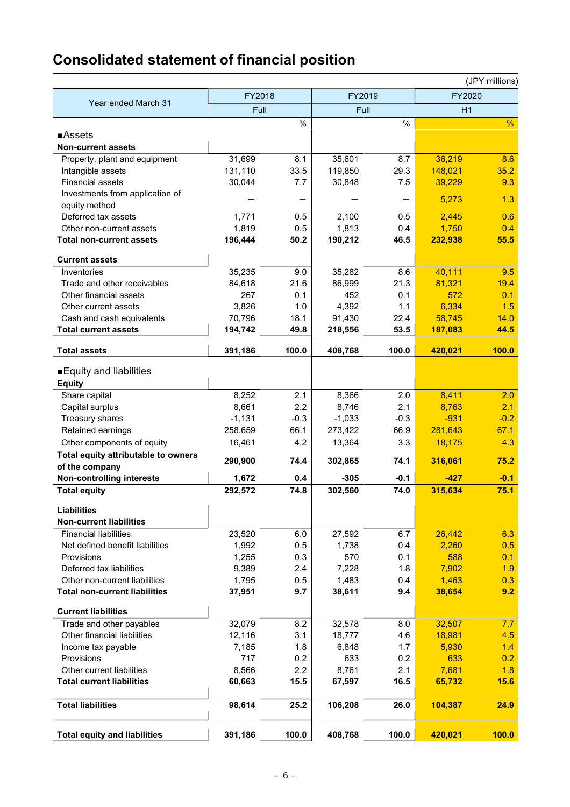| <b>Consolidated statement of financial position</b> |  |
|-----------------------------------------------------|--|
|-----------------------------------------------------|--|

| (JPY millions)                            |          |        |          |        |         |        |  |  |  |
|-------------------------------------------|----------|--------|----------|--------|---------|--------|--|--|--|
|                                           | FY2018   |        | FY2019   |        | FY2020  |        |  |  |  |
| Year ended March 31                       | Full     |        | Full     |        | H1      |        |  |  |  |
|                                           |          | %      |          | $\%$   |         | %      |  |  |  |
| ■Assets                                   |          |        |          |        |         |        |  |  |  |
| <b>Non-current assets</b>                 |          |        |          |        |         |        |  |  |  |
| Property, plant and equipment             | 31,699   | 8.1    | 35,601   | 8.7    | 36,219  | 8.6    |  |  |  |
| Intangible assets                         | 131,110  | 33.5   | 119,850  | 29.3   | 148,021 | 35.2   |  |  |  |
| <b>Financial assets</b>                   | 30,044   | 7.7    | 30,848   | 7.5    | 39,229  | 9.3    |  |  |  |
| Investments from application of           |          |        |          |        |         |        |  |  |  |
| equity method                             |          |        |          |        | 5,273   | 1.3    |  |  |  |
| Deferred tax assets                       | 1,771    | 0.5    | 2,100    | 0.5    | 2,445   | 0.6    |  |  |  |
| Other non-current assets                  | 1,819    | 0.5    | 1,813    | 0.4    | 1,750   | 0.4    |  |  |  |
| <b>Total non-current assets</b>           | 196,444  | 50.2   | 190,212  | 46.5   | 232,938 | 55.5   |  |  |  |
| <b>Current assets</b>                     |          |        |          |        |         |        |  |  |  |
| Inventories                               | 35,235   | 9.0    | 35,282   | 8.6    | 40,111  | 9.5    |  |  |  |
| Trade and other receivables               | 84,618   | 21.6   | 86,999   | 21.3   | 81,321  | 19.4   |  |  |  |
| Other financial assets                    | 267      | 0.1    | 452      | 0.1    | 572     | 0.1    |  |  |  |
| Other current assets                      | 3,826    | 1.0    | 4,392    | 1.1    | 6,334   | 1.5    |  |  |  |
| Cash and cash equivalents                 | 70,796   | 18.1   | 91,430   | 22.4   | 58,745  | 14.0   |  |  |  |
| <b>Total current assets</b>               | 194,742  | 49.8   | 218,556  | 53.5   | 187,083 | 44.5   |  |  |  |
| <b>Total assets</b>                       | 391,186  | 100.0  | 408,768  | 100.0  | 420,021 | 100.0  |  |  |  |
|                                           |          |        |          |        |         |        |  |  |  |
| ■ Equity and liabilities<br><b>Equity</b> |          |        |          |        |         |        |  |  |  |
| Share capital                             | 8,252    | 2.1    | 8,366    | 2.0    | 8,411   | 2.0    |  |  |  |
| Capital surplus                           | 8,661    | 2.2    | 8,746    | 2.1    | 8,763   | 2.1    |  |  |  |
| Treasury shares                           | $-1,131$ | $-0.3$ | $-1,033$ | $-0.3$ | $-931$  | $-0.2$ |  |  |  |
| Retained earnings                         | 258,659  | 66.1   | 273,422  | 66.9   | 281,643 | 67.1   |  |  |  |
| Other components of equity                | 16,461   | 4.2    | 13,364   | 3.3    | 18,175  | 4.3    |  |  |  |
| Total equity attributable to owners       | 290,900  | 74.4   | 302,865  | 74.1   | 316,061 | 75.2   |  |  |  |
| of the company                            |          |        |          |        |         |        |  |  |  |
| <b>Non-controlling interests</b>          | 1,672    | 0.4    | $-305$   | $-0.1$ | $-427$  | $-0.1$ |  |  |  |
| <b>Total equity</b>                       | 292,572  | 74.8   | 302,560  | 74.0   | 315,634 | 75.1   |  |  |  |
| <b>Liabilities</b>                        |          |        |          |        |         |        |  |  |  |
| <b>Non-current liabilities</b>            |          |        |          |        |         |        |  |  |  |
| <b>Financial liabilities</b>              | 23,520   | 6.0    | 27,592   | 6.7    | 26,442  | 6.3    |  |  |  |
| Net defined benefit liabilities           | 1,992    | 0.5    | 1,738    | 0.4    | 2,260   | 0.5    |  |  |  |
| Provisions                                | 1,255    | 0.3    | 570      | 0.1    | 588     | 0.1    |  |  |  |
| Deferred tax liabilities                  | 9,389    | 2.4    | 7,228    | 1.8    | 7,902   | 1.9    |  |  |  |
| Other non-current liabilities             | 1,795    | 0.5    | 1,483    | 0.4    | 1,463   | 0.3    |  |  |  |
| <b>Total non-current liabilities</b>      | 37,951   | 9.7    | 38,611   | 9.4    | 38,654  | 9.2    |  |  |  |
| <b>Current liabilities</b>                |          |        |          |        |         |        |  |  |  |
| Trade and other payables                  | 32,079   | 8.2    | 32,578   | 8.0    | 32,507  | 7.7    |  |  |  |
| Other financial liabilities               | 12,116   | 3.1    | 18,777   | 4.6    | 18,981  | 4.5    |  |  |  |
| Income tax payable                        | 7,185    | 1.8    | 6,848    | 1.7    | 5,930   | 1.4    |  |  |  |
| Provisions                                | 717      | 0.2    | 633      | 0.2    | 633     | 0.2    |  |  |  |
| Other current liabilities                 | 8,566    | 2.2    | 8,761    | 2.1    | 7,681   | 1.8    |  |  |  |
| <b>Total current liabilities</b>          | 60,663   | 15.5   | 67,597   | 16.5   | 65,732  | 15.6   |  |  |  |
| <b>Total liabilities</b>                  | 98,614   | 25.2   | 106,208  | 26.0   | 104,387 | 24.9   |  |  |  |
| <b>Total equity and liabilities</b>       | 391,186  | 100.0  | 408,768  | 100.0  | 420,021 | 100.0  |  |  |  |